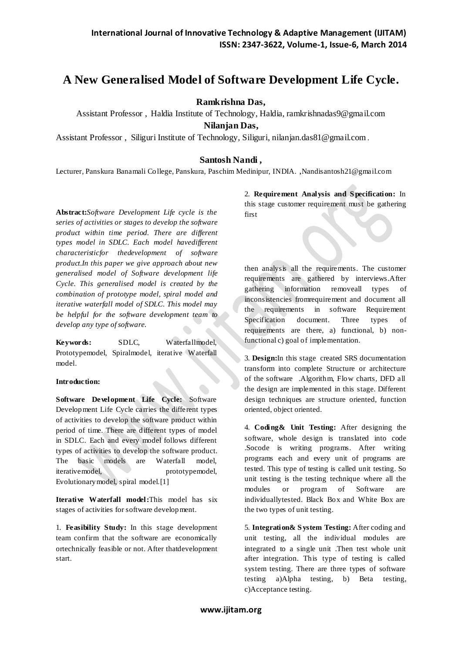# **A New Generalised Model of Software Development Life Cycle.**

**Ramkrishna Das,**

Assistant Professor , Haldia Institute of Technology, Haldia, ramkrishnadas9@gmail.com **Nilanjan Das,**

Assistant Professor , Siliguri Institute of Technology, Siliguri, nilanjan.das81@gmail.com .

## **Santosh Nandi ,**

Lecturer, Panskura Banamali College, Panskura, Paschim Medinipur, INDIA. ,Nandisantosh21@gmail.com

**Abstract:***Software Development Life cycle is the series of activities or stages to develop the software product within time period. There are different types model in SDLC. Each model havedifferent characteristicfor thedevelopment of software product.In this paper we give approach about new generalised model of Software development life Cycle. This generalised model is created by the combination of prototype model, spiral model and iterative waterfall model of SDLC. This model may be helpful for the software development team to develop any type of software.*

**Keywords:** SDLC, Waterfallmodel, Prototypemodel, Spiralmodel, iterative Waterfall model.

### **Introduction:**

**Software Development Life Cycle:** Software Development Life Cycle carries the different types of activities to develop the software product within period of time. There are different types of model in SDLC. Each and every model follows different types of activities to develop the software product. The basic models are Waterfall model, iterative model, prototypemodel, Evolutionarymodel, spiral model.[1]

**Iterative Waterfall model:**This model has six stages of activities for software development.

1. **Feasibility Study:** In this stage development team confirm that the software are economically ortechnically feasible or not. After thatdevelopment start.

2. **Requirement Analysis and S pecification:** In this stage customer requirement must be gathering first

then analysis all the requirements. The customer requirements are gathered by interviews.After gathering information removeall types of inconsistencies fromrequirement and document all the requirements in software Requirement Specification document. Three types of requirements are there, a) functional, b) nonfunctional c) goal of implementation.

3. **Design:**In this stage created SRS documentation transform into complete Structure or architecture of the software .Algorithm, Flow charts, DFD all the design are implemented in this stage. Different design techniques are structure oriented, function oriented, object oriented.

4. **Coding& Unit Testing:** After designing the software, whole design is translated into code .Socode is writing programs. After writing programs each and every unit of programs are tested. This type of testing is called unit testing. So unit testing is the testing technique where all the modules or program of Software are individuallytested. Black Box and White Box are the two types of unit testing.

5. **Integration& S ystem Testing:** After coding and unit testing, all the individual modules are integrated to a single unit .Then test whole unit after integration. This type of testing is called system testing. There are three types of software testing a)Alpha testing, b) Beta testing, c)Acceptance testing.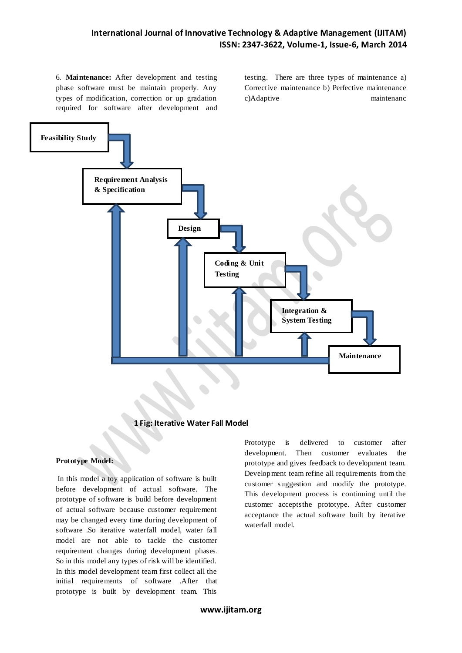6. **Maintenance:** After development and testing phase software must be maintain properly. Any types of modification, correction or up gradation required for software after development and

testing. There are three types of maintenance a) Corrective maintenance b) Perfective maintenance c)Adaptive maintenanc



## **1 Fig: Iterative Water Fall Model**

#### **Prototype Model:**

In this model a toy application of software is built before development of actual software. The prototype of software is build before development of actual software because customer requirement may be changed every time during development of software .So iterative waterfall model, water fall model are not able to tackle the customer requirement changes during development phases. So in this model any types of risk will be identified. In this model development team first collect all the initial requirements of software .After that prototype is built by development team. This

Prototype is delivered to customer after development. Then customer evaluates the prototype and gives feedback to development team. Development team refine all requirements from the customer suggestion and modify the prototype. This development process is continuing until the customer acceptsthe prototype. After customer acceptance the actual software built by iterative waterfall model.

**www.ijitam.org**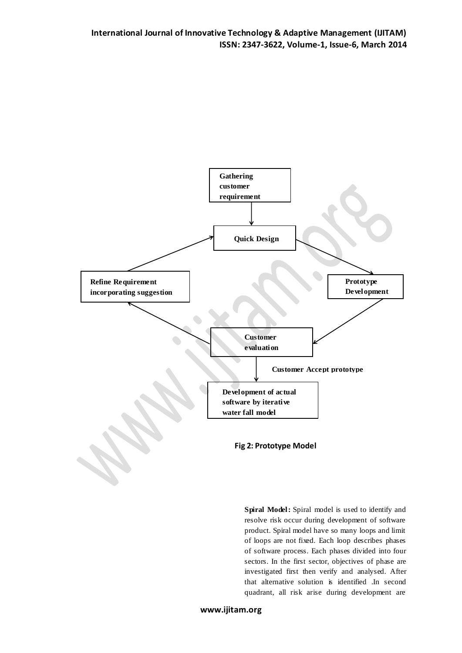

**Spiral Model:** Spiral model is used to identify and resolve risk occur during development of software product. Spiral model have so many loops and limit of loops are not fixed. Each loop describes phases of software process. Each phases divided into four sectors. In the first sector, objectives of phase are investigated first then verify and analysed. After that alternative solution is identified .In second quadrant, all risk arise during development are

**www.ijitam.org**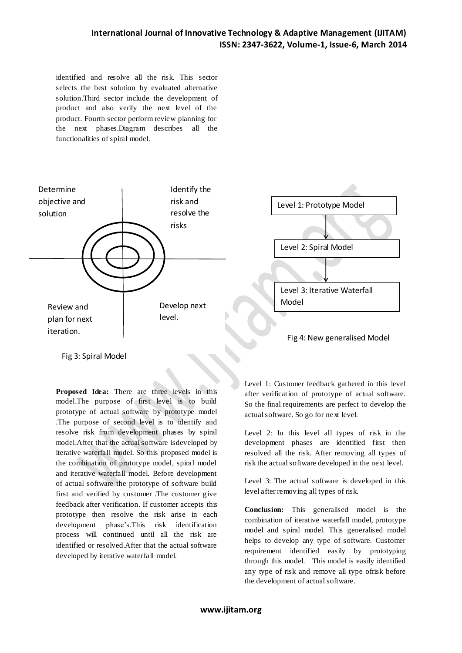identified and resolve all the risk. This sector selects the best solution by evaluated alternative solution.Third sector include the development of product and also verify the next level of the product. Fourth sector perform review planning for the next phases.Diagram describes all the functionalities of spiral model.



Fig 3: Spiral Model

**Proposed Idea:** There are three levels in this model.The purpose of first level is to build prototype of actual software by prototype model .The purpose of second level is to identify and resolve risk from development phases by spiral model.After that the actual software isdeveloped by iterative waterfall model. So this proposed model is the combination of prototype model, spiral model and iterative waterfall model. Before development of actual software the prototype of software build first and verified by customer .The customer give feedback after verification. If customer accepts this prototype then resolve the risk arise in each development phase's.This risk identification process will continued until all the risk are identified or resolved.After that the actual software developed by iterative waterfall model.

Level 1: Customer feedback gathered in this level after verification of prototype of actual software. So the final requirements are perfect to develop the actual software. So go for next level.

Level 2: In this level all types of risk in the development phases are identified first then resolved all the risk. After removing all types of risk the actual software developed in the next level.

Level 3: The actual software is developed in this level after removing all types of risk.

**Conclusion:** This generalised model is the combination of iterative waterfall model, prototype model and spiral model. This generalised model helps to develop any type of software. Customer requirement identified easily by prototyping through this model. This model is easily identified any type of risk and remove all type ofrisk before the development of actual software.